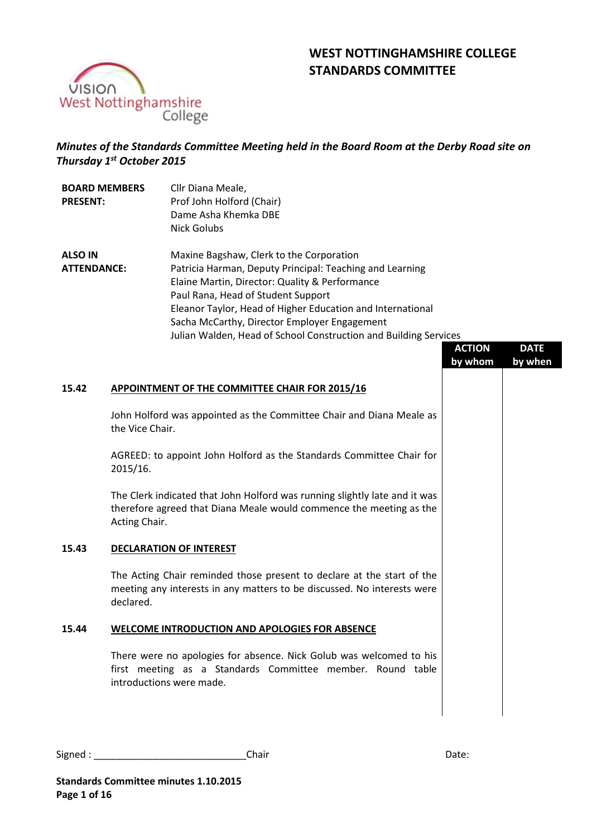# **WEST NOTTINGHAMSHIRE COLLEGE STANDARDS COMMITTEE**



# *Minutes of the Standards Committee Meeting held in the Board Room at the Derby Road site on Thursday 1 st October 2015*

| <b>BOARD MEMBERS</b><br><b>PRESENT:</b> | Cllr Diana Meale,<br>Prof John Holford (Chair)<br>Dame Asha Khemka DBE<br>Nick Golubs |
|-----------------------------------------|---------------------------------------------------------------------------------------|
| <b>ALSO IN</b>                          | Maxine Bagshaw, Clerk to the Corporation                                              |
| <b>ATTENDANCE:</b>                      | Patricia Harman, Deputy Principal: Teaching and Learning                              |
|                                         | Elaine Martin, Director: Quality & Performance                                        |
|                                         | Paul Rana, Head of Student Support                                                    |
|                                         | Eleanor Taylor, Head of Higher Education and International                            |
|                                         | Sacha McCarthy, Director Employer Engagement                                          |
|                                         | Julian Walden, Head of School Construction and Building Services                      |

|       |                                                                                                                                                                    | <b>ACTION</b><br>by whom | <b>DATE</b><br>by when |
|-------|--------------------------------------------------------------------------------------------------------------------------------------------------------------------|--------------------------|------------------------|
| 15.42 | APPOINTMENT OF THE COMMITTEE CHAIR FOR 2015/16                                                                                                                     |                          |                        |
|       | John Holford was appointed as the Committee Chair and Diana Meale as<br>the Vice Chair.                                                                            |                          |                        |
|       | AGREED: to appoint John Holford as the Standards Committee Chair for<br>2015/16.                                                                                   |                          |                        |
|       | The Clerk indicated that John Holford was running slightly late and it was<br>therefore agreed that Diana Meale would commence the meeting as the<br>Acting Chair. |                          |                        |
| 15.43 | <b>DECLARATION OF INTEREST</b>                                                                                                                                     |                          |                        |
|       | The Acting Chair reminded those present to declare at the start of the<br>meeting any interests in any matters to be discussed. No interests were<br>declared.     |                          |                        |
| 15.44 | <b>WELCOME INTRODUCTION AND APOLOGIES FOR ABSENCE</b>                                                                                                              |                          |                        |
|       | There were no apologies for absence. Nick Golub was welcomed to his<br>first meeting as a Standards Committee member. Round table<br>introductions were made.      |                          |                        |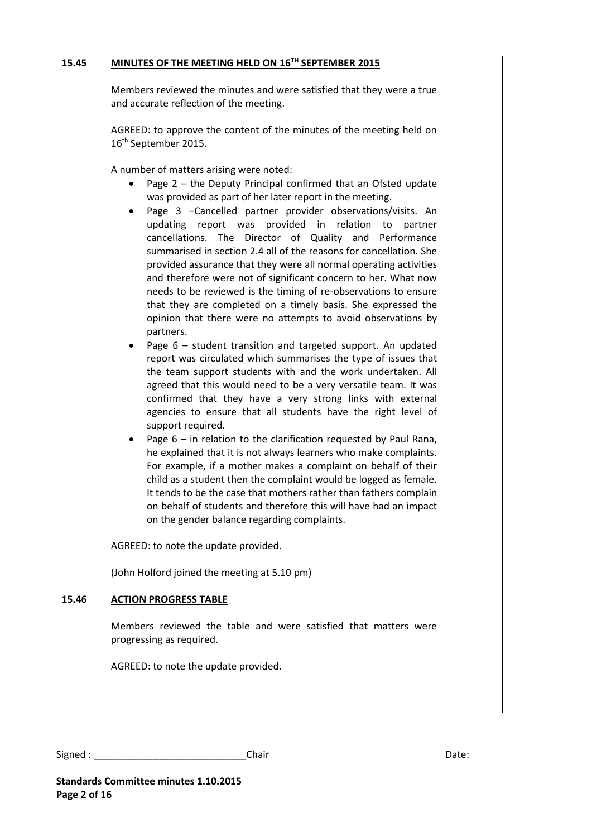## **15.45 MINUTES OF THE MEETING HELD ON 16TH SEPTEMBER 2015**

Members reviewed the minutes and were satisfied that they were a true and accurate reflection of the meeting.

AGREED: to approve the content of the minutes of the meeting held on 16th September 2015.

A number of matters arising were noted:

- Page 2 the Deputy Principal confirmed that an Ofsted update was provided as part of her later report in the meeting.
- Page 3 –Cancelled partner provider observations/visits. An updating report was provided in relation to partner cancellations. The Director of Quality and Performance summarised in section 2.4 all of the reasons for cancellation. She provided assurance that they were all normal operating activities and therefore were not of significant concern to her. What now needs to be reviewed is the timing of re-observations to ensure that they are completed on a timely basis. She expressed the opinion that there were no attempts to avoid observations by partners.
- Page 6 student transition and targeted support. An updated report was circulated which summarises the type of issues that the team support students with and the work undertaken. All agreed that this would need to be a very versatile team. It was confirmed that they have a very strong links with external agencies to ensure that all students have the right level of support required.
- Page 6 in relation to the clarification requested by Paul Rana, he explained that it is not always learners who make complaints. For example, if a mother makes a complaint on behalf of their child as a student then the complaint would be logged as female. It tends to be the case that mothers rather than fathers complain on behalf of students and therefore this will have had an impact on the gender balance regarding complaints.

AGREED: to note the update provided.

(John Holford joined the meeting at 5.10 pm)

### **15.46 ACTION PROGRESS TABLE**

Members reviewed the table and were satisfied that matters were progressing as required.

AGREED: to note the update provided.

| Signed | :hair<br>____ | <br>$\sim$ |
|--------|---------------|------------|
|--------|---------------|------------|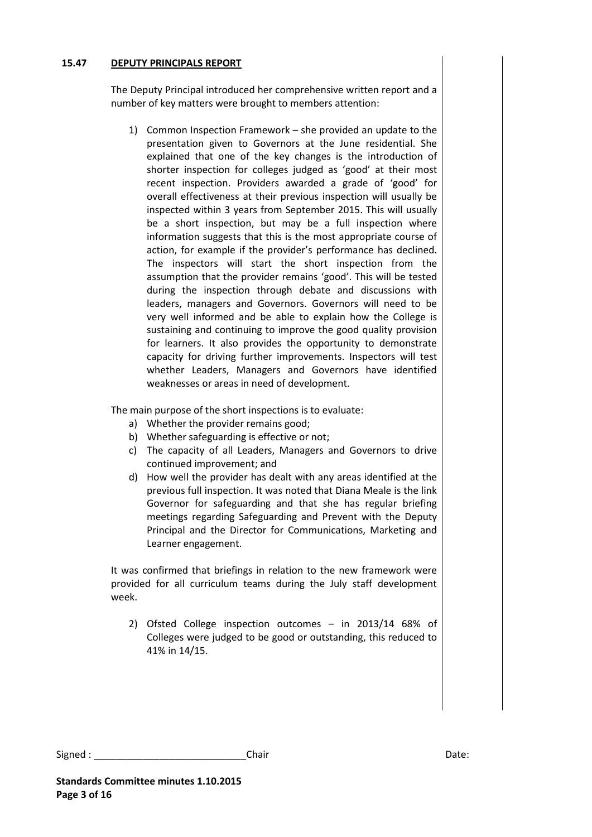# **15.47 DEPUTY PRINCIPALS REPORT**

The Deputy Principal introduced her comprehensive written report and a number of key matters were brought to members attention:

1) Common Inspection Framework – she provided an update to the presentation given to Governors at the June residential. She explained that one of the key changes is the introduction of shorter inspection for colleges judged as 'good' at their most recent inspection. Providers awarded a grade of 'good' for overall effectiveness at their previous inspection will usually be inspected within 3 years from September 2015. This will usually be a short inspection, but may be a full inspection where information suggests that this is the most appropriate course of action, for example if the provider's performance has declined. The inspectors will start the short inspection from the assumption that the provider remains 'good'. This will be tested during the inspection through debate and discussions with leaders, managers and Governors. Governors will need to be very well informed and be able to explain how the College is sustaining and continuing to improve the good quality provision for learners. It also provides the opportunity to demonstrate capacity for driving further improvements. Inspectors will test whether Leaders, Managers and Governors have identified weaknesses or areas in need of development.

The main purpose of the short inspections is to evaluate:

- a) Whether the provider remains good;
- b) Whether safeguarding is effective or not;
- c) The capacity of all Leaders, Managers and Governors to drive continued improvement; and
- d) How well the provider has dealt with any areas identified at the previous full inspection. It was noted that Diana Meale is the link Governor for safeguarding and that she has regular briefing meetings regarding Safeguarding and Prevent with the Deputy Principal and the Director for Communications, Marketing and Learner engagement.

It was confirmed that briefings in relation to the new framework were provided for all curriculum teams during the July staff development week.

2) Ofsted College inspection outcomes – in 2013/14 68% of Colleges were judged to be good or outstanding, this reduced to 41% in 14/15.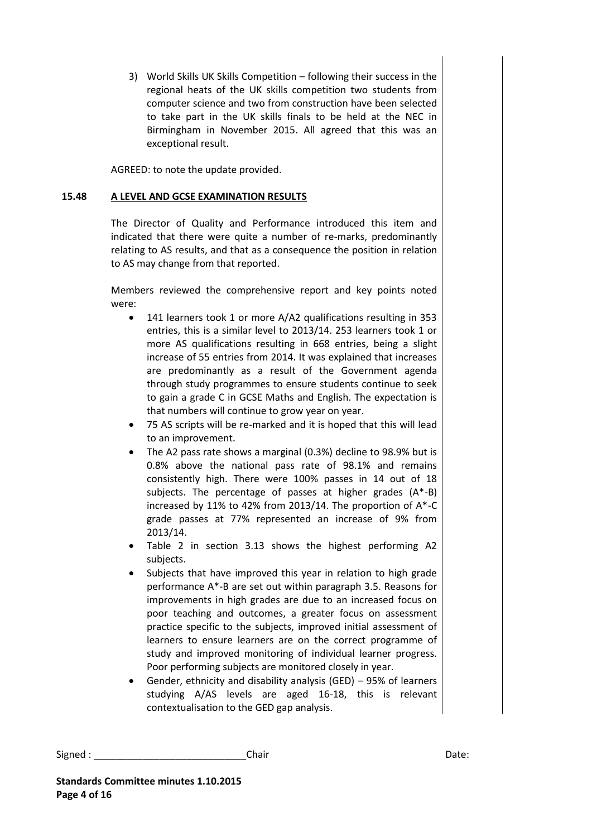3) World Skills UK Skills Competition – following their success in the regional heats of the UK skills competition two students from computer science and two from construction have been selected to take part in the UK skills finals to be held at the NEC in Birmingham in November 2015. All agreed that this was an exceptional result.

AGREED: to note the update provided.

# **15.48 A LEVEL AND GCSE EXAMINATION RESULTS**

The Director of Quality and Performance introduced this item and indicated that there were quite a number of re-marks, predominantly relating to AS results, and that as a consequence the position in relation to AS may change from that reported.

Members reviewed the comprehensive report and key points noted were:

- 141 learners took 1 or more A/A2 qualifications resulting in 353 entries, this is a similar level to 2013/14. 253 learners took 1 or more AS qualifications resulting in 668 entries, being a slight increase of 55 entries from 2014. It was explained that increases are predominantly as a result of the Government agenda through study programmes to ensure students continue to seek to gain a grade C in GCSE Maths and English. The expectation is that numbers will continue to grow year on year.
- 75 AS scripts will be re-marked and it is hoped that this will lead to an improvement.
- The A2 pass rate shows a marginal (0.3%) decline to 98.9% but is 0.8% above the national pass rate of 98.1% and remains consistently high. There were 100% passes in 14 out of 18 subjects. The percentage of passes at higher grades (A\*-B) increased by 11% to 42% from 2013/14. The proportion of A\*-C grade passes at 77% represented an increase of 9% from 2013/14.
- Table 2 in section 3.13 shows the highest performing A2 subjects.
- Subjects that have improved this year in relation to high grade performance A\*-B are set out within paragraph 3.5. Reasons for improvements in high grades are due to an increased focus on poor teaching and outcomes, a greater focus on assessment practice specific to the subjects, improved initial assessment of learners to ensure learners are on the correct programme of study and improved monitoring of individual learner progress. Poor performing subjects are monitored closely in year.
- Gender, ethnicity and disability analysis (GED) 95% of learners studying A/AS levels are aged 16-18, this is relevant contextualisation to the GED gap analysis.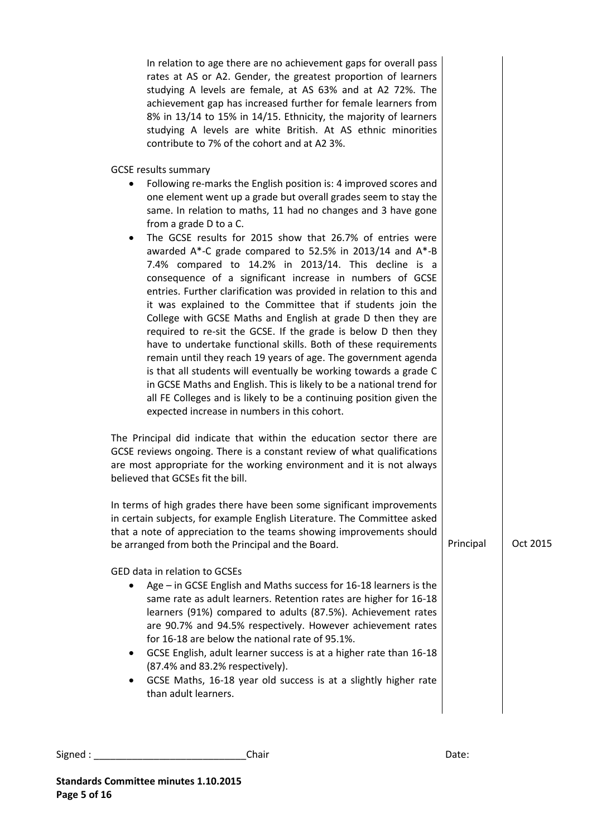In relation to age there are no achievement gaps for overall pass rates at AS or A2. Gender, the greatest proportion of learners studying A levels are female, at AS 63% and at A2 72%. The achievement gap has increased further for female learners from 8% in 13/14 to 15% in 14/15. Ethnicity, the majority of learners studying A levels are white British. At AS ethnic minorities contribute to 7% of the cohort and at A2 3%.

GCSE results summary

- Following re-marks the English position is: 4 improved scores and one element went up a grade but overall grades seem to stay the same. In relation to maths, 11 had no changes and 3 have gone from a grade D to a C.
- The GCSE results for 2015 show that 26.7% of entries were awarded A\*-C grade compared to 52.5% in 2013/14 and A\*-B 7.4% compared to 14.2% in 2013/14. This decline is a consequence of a significant increase in numbers of GCSE entries. Further clarification was provided in relation to this and it was explained to the Committee that if students join the College with GCSE Maths and English at grade D then they are required to re-sit the GCSE. If the grade is below D then they have to undertake functional skills. Both of these requirements remain until they reach 19 years of age. The government agenda is that all students will eventually be working towards a grade C in GCSE Maths and English. This is likely to be a national trend for all FE Colleges and is likely to be a continuing position given the expected increase in numbers in this cohort.

The Principal did indicate that within the education sector there are GCSE reviews ongoing. There is a constant review of what qualifications are most appropriate for the working environment and it is not always believed that GCSEs fit the bill.

In terms of high grades there have been some significant improvements in certain subjects, for example English Literature. The Committee asked that a note of appreciation to the teams showing improvements should be arranged from both the Principal and the Board.

GED data in relation to GCSEs

- Age in GCSE English and Maths success for 16-18 learners is the same rate as adult learners. Retention rates are higher for 16-18 learners (91%) compared to adults (87.5%). Achievement rates are 90.7% and 94.5% respectively. However achievement rates for 16-18 are below the national rate of 95.1%.
- GCSE English, adult learner success is at a higher rate than 16-18 (87.4% and 83.2% respectively).
- GCSE Maths, 16-18 year old success is at a slightly higher rate than adult learners.

```
Signed : ____________________________Chair Date:
```
Principal Oct 2015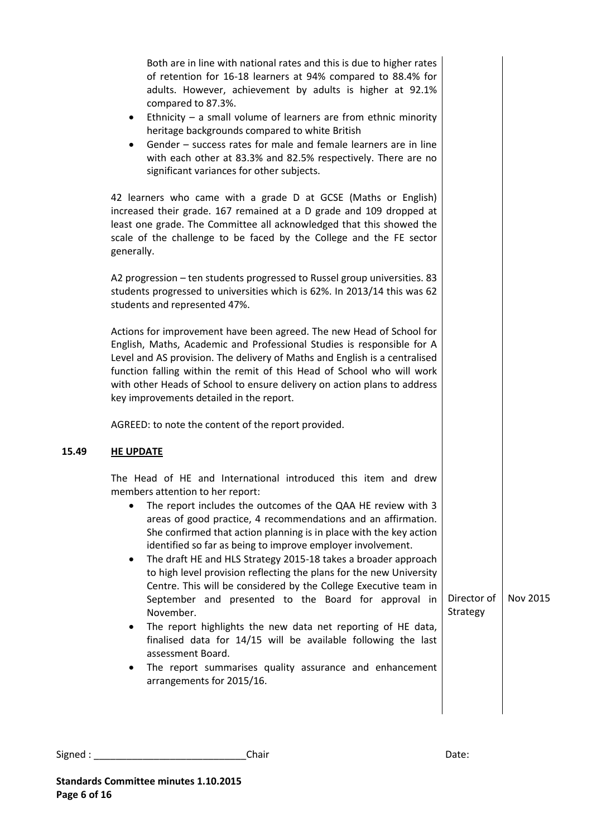| Both are in line with national rates and this is due to higher rates<br>of retention for 16-18 learners at 94% compared to 88.4% for<br>adults. However, achievement by adults is higher at 92.1%<br>compared to 87.3%.<br>Ethnicity $-$ a small volume of learners are from ethnic minority<br>٠<br>heritage backgrounds compared to white British<br>Gender - success rates for male and female learners are in line<br>$\bullet$<br>with each other at 83.3% and 82.5% respectively. There are no<br>significant variances for other subjects.                                                                                                                                                                                                                                                                                                                                                             |                         |          |
|---------------------------------------------------------------------------------------------------------------------------------------------------------------------------------------------------------------------------------------------------------------------------------------------------------------------------------------------------------------------------------------------------------------------------------------------------------------------------------------------------------------------------------------------------------------------------------------------------------------------------------------------------------------------------------------------------------------------------------------------------------------------------------------------------------------------------------------------------------------------------------------------------------------|-------------------------|----------|
| 42 learners who came with a grade D at GCSE (Maths or English)<br>increased their grade. 167 remained at a D grade and 109 dropped at<br>least one grade. The Committee all acknowledged that this showed the<br>scale of the challenge to be faced by the College and the FE sector<br>generally.                                                                                                                                                                                                                                                                                                                                                                                                                                                                                                                                                                                                            |                         |          |
| A2 progression - ten students progressed to Russel group universities. 83<br>students progressed to universities which is 62%. In 2013/14 this was 62<br>students and represented 47%.                                                                                                                                                                                                                                                                                                                                                                                                                                                                                                                                                                                                                                                                                                                        |                         |          |
| Actions for improvement have been agreed. The new Head of School for<br>English, Maths, Academic and Professional Studies is responsible for A<br>Level and AS provision. The delivery of Maths and English is a centralised<br>function falling within the remit of this Head of School who will work<br>with other Heads of School to ensure delivery on action plans to address<br>key improvements detailed in the report.                                                                                                                                                                                                                                                                                                                                                                                                                                                                                |                         |          |
| AGREED: to note the content of the report provided.                                                                                                                                                                                                                                                                                                                                                                                                                                                                                                                                                                                                                                                                                                                                                                                                                                                           |                         |          |
| <b>HE UPDATE</b>                                                                                                                                                                                                                                                                                                                                                                                                                                                                                                                                                                                                                                                                                                                                                                                                                                                                                              |                         |          |
| The Head of HE and International introduced this item and drew<br>members attention to her report:<br>The report includes the outcomes of the QAA HE review with 3<br>areas of good practice, 4 recommendations and an affirmation.<br>She confirmed that action planning is in place with the key action<br>identified so far as being to improve employer involvement.<br>The draft HE and HLS Strategy 2015-18 takes a broader approach<br>to high level provision reflecting the plans for the new University<br>Centre. This will be considered by the College Executive team in<br>September and presented to the Board for approval in<br>November.<br>The report highlights the new data net reporting of HE data,<br>٠<br>finalised data for 14/15 will be available following the last<br>assessment Board.<br>The report summarises quality assurance and enhancement<br>arrangements for 2015/16. | Director of<br>Strategy | Nov 2015 |

**15.49**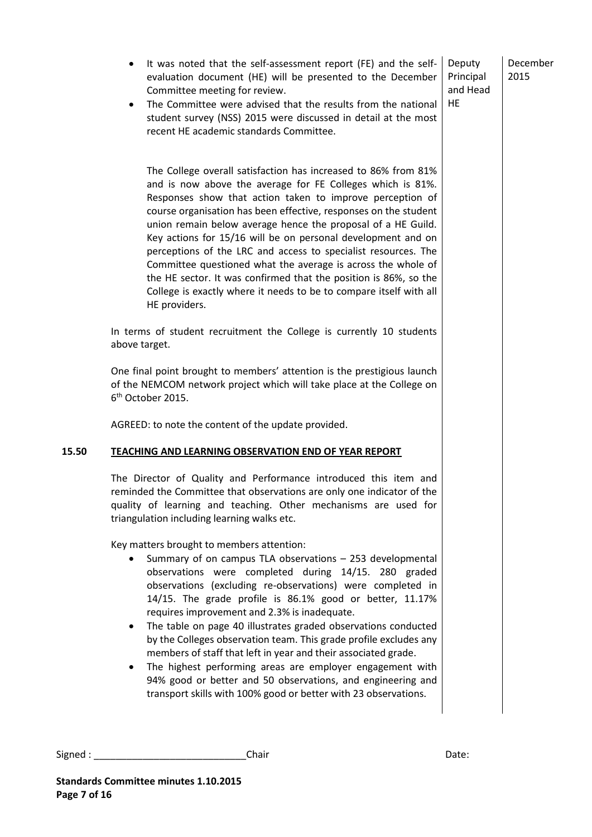December 2015

Deputy Principal and Head

HE

- It was noted that the self-assessment report (FE) and the selfevaluation document (HE) will be presented to the December Committee meeting for review.
- The Committee were advised that the results from the national student survey (NSS) 2015 were discussed in detail at the most recent HE academic standards Committee.

The College overall satisfaction has increased to 86% from 81% and is now above the average for FE Colleges which is 81%. Responses show that action taken to improve perception of course organisation has been effective, responses on the student union remain below average hence the proposal of a HE Guild. Key actions for 15/16 will be on personal development and on perceptions of the LRC and access to specialist resources. The Committee questioned what the average is across the whole of the HE sector. It was confirmed that the position is 86%, so the College is exactly where it needs to be to compare itself with all HE providers.

In terms of student recruitment the College is currently 10 students above target.

One final point brought to members' attention is the prestigious launch of the NEMCOM network project which will take place at the College on 6<sup>th</sup> October 2015.

AGREED: to note the content of the update provided.

# **15.50 TEACHING AND LEARNING OBSERVATION END OF YEAR REPORT**

The Director of Quality and Performance introduced this item and reminded the Committee that observations are only one indicator of the quality of learning and teaching. Other mechanisms are used for triangulation including learning walks etc.

Key matters brought to members attention:

- Summary of on campus TLA observations 253 developmental observations were completed during 14/15. 280 graded observations (excluding re-observations) were completed in 14/15. The grade profile is 86.1% good or better, 11.17% requires improvement and 2.3% is inadequate.
- The table on page 40 illustrates graded observations conducted by the Colleges observation team. This grade profile excludes any members of staff that left in year and their associated grade.
- The highest performing areas are employer engagement with 94% good or better and 50 observations, and engineering and transport skills with 100% good or better with 23 observations.

```
Signed : ____________________________Chair Date:
```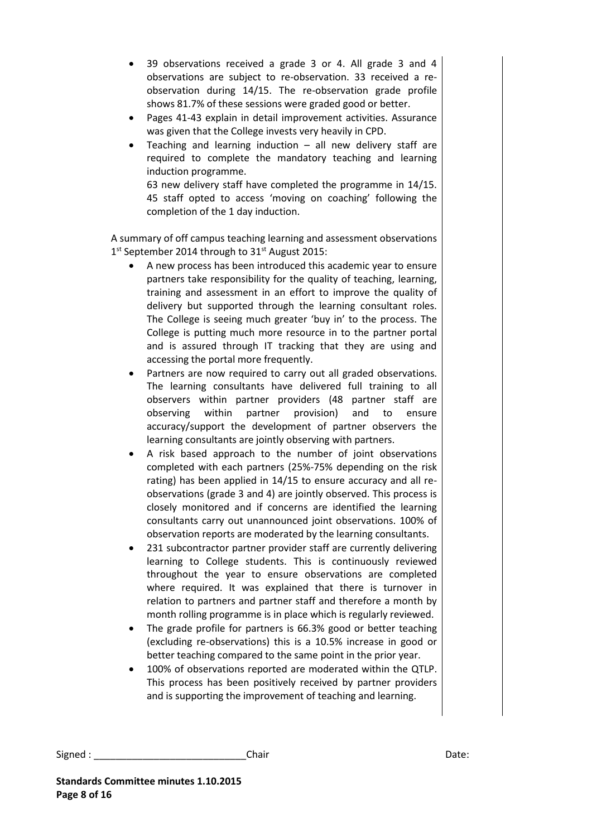- 39 observations received a grade 3 or 4. All grade 3 and 4 observations are subject to re-observation. 33 received a reobservation during 14/15. The re-observation grade profile shows 81.7% of these sessions were graded good or better.
- Pages 41-43 explain in detail improvement activities. Assurance was given that the College invests very heavily in CPD.
- Teaching and learning induction  $-$  all new delivery staff are required to complete the mandatory teaching and learning induction programme.

63 new delivery staff have completed the programme in 14/15. 45 staff opted to access 'moving on coaching' following the completion of the 1 day induction.

A summary of off campus teaching learning and assessment observations 1<sup>st</sup> September 2014 through to 31<sup>st</sup> August 2015:

- A new process has been introduced this academic year to ensure partners take responsibility for the quality of teaching, learning, training and assessment in an effort to improve the quality of delivery but supported through the learning consultant roles. The College is seeing much greater 'buy in' to the process. The College is putting much more resource in to the partner portal and is assured through IT tracking that they are using and accessing the portal more frequently.
- Partners are now required to carry out all graded observations. The learning consultants have delivered full training to all observers within partner providers (48 partner staff are observing within partner provision) and to ensure accuracy/support the development of partner observers the learning consultants are jointly observing with partners.
- A risk based approach to the number of joint observations completed with each partners (25%-75% depending on the risk rating) has been applied in 14/15 to ensure accuracy and all reobservations (grade 3 and 4) are jointly observed. This process is closely monitored and if concerns are identified the learning consultants carry out unannounced joint observations. 100% of observation reports are moderated by the learning consultants.
- 231 subcontractor partner provider staff are currently delivering learning to College students. This is continuously reviewed throughout the year to ensure observations are completed where required. It was explained that there is turnover in relation to partners and partner staff and therefore a month by month rolling programme is in place which is regularly reviewed.
- The grade profile for partners is 66.3% good or better teaching (excluding re-observations) this is a 10.5% increase in good or better teaching compared to the same point in the prior year.
- 100% of observations reported are moderated within the QTLP. This process has been positively received by partner providers and is supporting the improvement of teaching and learning.

Signed : \_\_\_\_\_\_\_\_\_\_\_\_\_\_\_\_\_\_\_\_\_\_\_\_\_\_\_\_Chair Date: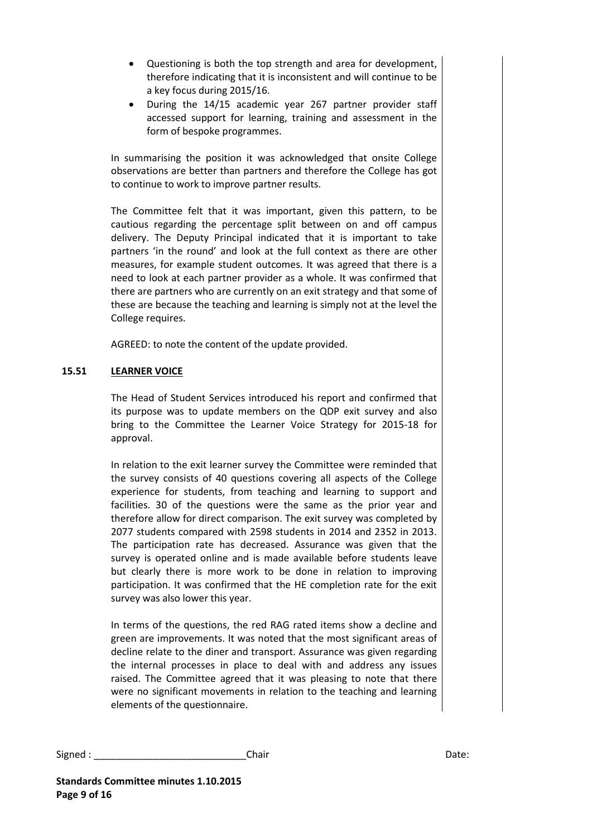- Questioning is both the top strength and area for development, therefore indicating that it is inconsistent and will continue to be a key focus during 2015/16.
- During the 14/15 academic year 267 partner provider staff accessed support for learning, training and assessment in the form of bespoke programmes.

In summarising the position it was acknowledged that onsite College observations are better than partners and therefore the College has got to continue to work to improve partner results.

The Committee felt that it was important, given this pattern, to be cautious regarding the percentage split between on and off campus delivery. The Deputy Principal indicated that it is important to take partners 'in the round' and look at the full context as there are other measures, for example student outcomes. It was agreed that there is a need to look at each partner provider as a whole. It was confirmed that there are partners who are currently on an exit strategy and that some of these are because the teaching and learning is simply not at the level the College requires.

AGREED: to note the content of the update provided.

# **15.51 LEARNER VOICE**

The Head of Student Services introduced his report and confirmed that its purpose was to update members on the QDP exit survey and also bring to the Committee the Learner Voice Strategy for 2015-18 for approval.

In relation to the exit learner survey the Committee were reminded that the survey consists of 40 questions covering all aspects of the College experience for students, from teaching and learning to support and facilities. 30 of the questions were the same as the prior year and therefore allow for direct comparison. The exit survey was completed by 2077 students compared with 2598 students in 2014 and 2352 in 2013. The participation rate has decreased. Assurance was given that the survey is operated online and is made available before students leave but clearly there is more work to be done in relation to improving participation. It was confirmed that the HE completion rate for the exit survey was also lower this year.

In terms of the questions, the red RAG rated items show a decline and green are improvements. It was noted that the most significant areas of decline relate to the diner and transport. Assurance was given regarding the internal processes in place to deal with and address any issues raised. The Committee agreed that it was pleasing to note that there were no significant movements in relation to the teaching and learning elements of the questionnaire.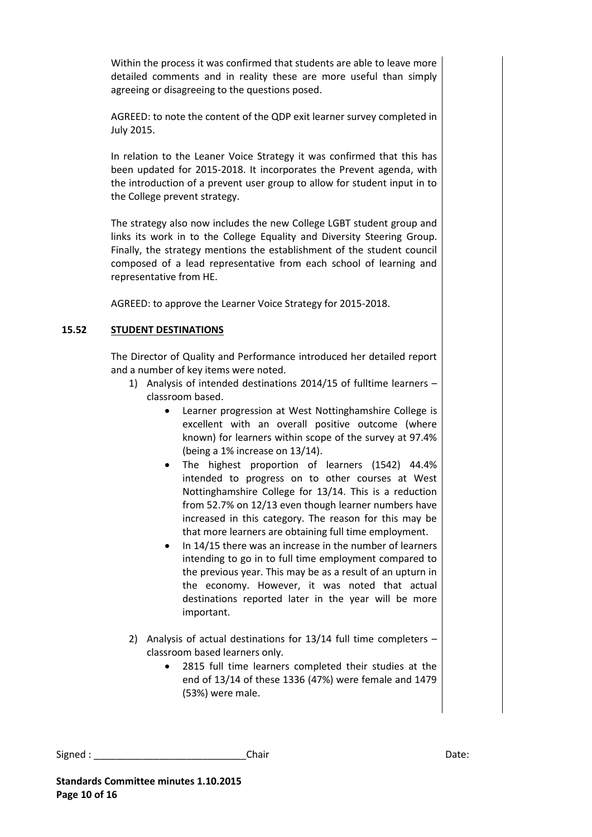Within the process it was confirmed that students are able to leave more detailed comments and in reality these are more useful than simply agreeing or disagreeing to the questions posed.

AGREED: to note the content of the QDP exit learner survey completed in July 2015.

In relation to the Leaner Voice Strategy it was confirmed that this has been updated for 2015-2018. It incorporates the Prevent agenda, with the introduction of a prevent user group to allow for student input in to the College prevent strategy.

The strategy also now includes the new College LGBT student group and links its work in to the College Equality and Diversity Steering Group. Finally, the strategy mentions the establishment of the student council composed of a lead representative from each school of learning and representative from HE.

AGREED: to approve the Learner Voice Strategy for 2015-2018.

# **15.52 STUDENT DESTINATIONS**

The Director of Quality and Performance introduced her detailed report and a number of key items were noted.

- 1) Analysis of intended destinations 2014/15 of fulltime learners classroom based.
	- Learner progression at West Nottinghamshire College is excellent with an overall positive outcome (where known) for learners within scope of the survey at 97.4% (being a 1% increase on 13/14).
	- The highest proportion of learners (1542) 44.4% intended to progress on to other courses at West Nottinghamshire College for 13/14. This is a reduction from 52.7% on 12/13 even though learner numbers have increased in this category. The reason for this may be that more learners are obtaining full time employment.
	- In 14/15 there was an increase in the number of learners intending to go in to full time employment compared to the previous year. This may be as a result of an upturn in the economy. However, it was noted that actual destinations reported later in the year will be more important.
- 2) Analysis of actual destinations for 13/14 full time completers classroom based learners only.
	- 2815 full time learners completed their studies at the end of 13/14 of these 1336 (47%) were female and 1479 (53%) were male.

Signed : \_\_\_\_\_\_\_\_\_\_\_\_\_\_\_\_\_\_\_\_\_\_\_\_\_\_\_\_Chair Date: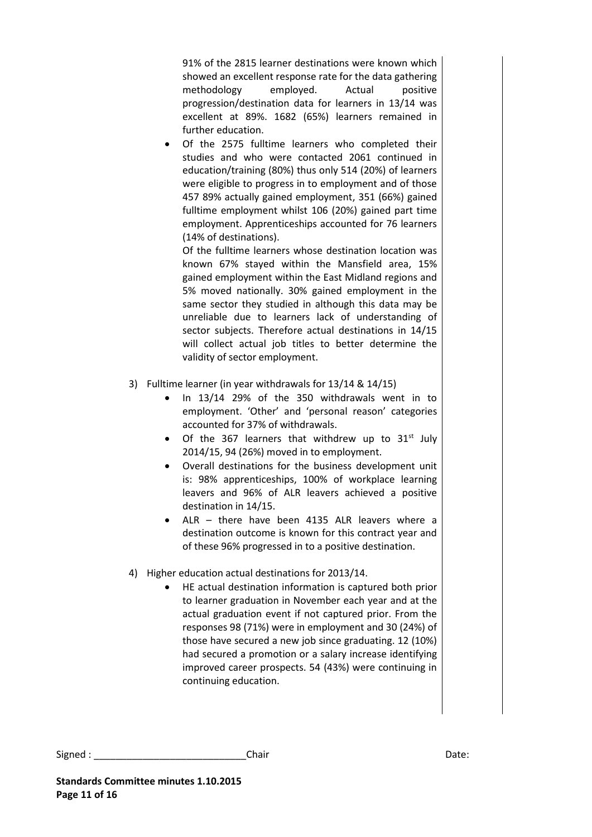91% of the 2815 learner destinations were known which showed an excellent response rate for the data gathering methodology employed. Actual positive progression/destination data for learners in 13/14 was excellent at 89%. 1682 (65%) learners remained in further education.

 Of the 2575 fulltime learners who completed their studies and who were contacted 2061 continued in education/training (80%) thus only 514 (20%) of learners were eligible to progress in to employment and of those 457 89% actually gained employment, 351 (66%) gained fulltime employment whilst 106 (20%) gained part time employment. Apprenticeships accounted for 76 learners (14% of destinations).

Of the fulltime learners whose destination location was known 67% stayed within the Mansfield area, 15% gained employment within the East Midland regions and 5% moved nationally. 30% gained employment in the same sector they studied in although this data may be unreliable due to learners lack of understanding of sector subjects. Therefore actual destinations in 14/15 will collect actual job titles to better determine the validity of sector employment.

- 3) Fulltime learner (in year withdrawals for 13/14 & 14/15)
	- In 13/14 29% of the 350 withdrawals went in to employment. 'Other' and 'personal reason' categories accounted for 37% of withdrawals.
	- Of the 367 learners that withdrew up to  $31<sup>st</sup>$  July 2014/15, 94 (26%) moved in to employment.
	- Overall destinations for the business development unit is: 98% apprenticeships, 100% of workplace learning leavers and 96% of ALR leavers achieved a positive destination in 14/15.
	- ALR there have been 4135 ALR leavers where a destination outcome is known for this contract year and of these 96% progressed in to a positive destination.
- 4) Higher education actual destinations for 2013/14.
	- HE actual destination information is captured both prior to learner graduation in November each year and at the actual graduation event if not captured prior. From the responses 98 (71%) were in employment and 30 (24%) of those have secured a new job since graduating. 12 (10%) had secured a promotion or a salary increase identifying improved career prospects. 54 (43%) were continuing in continuing education.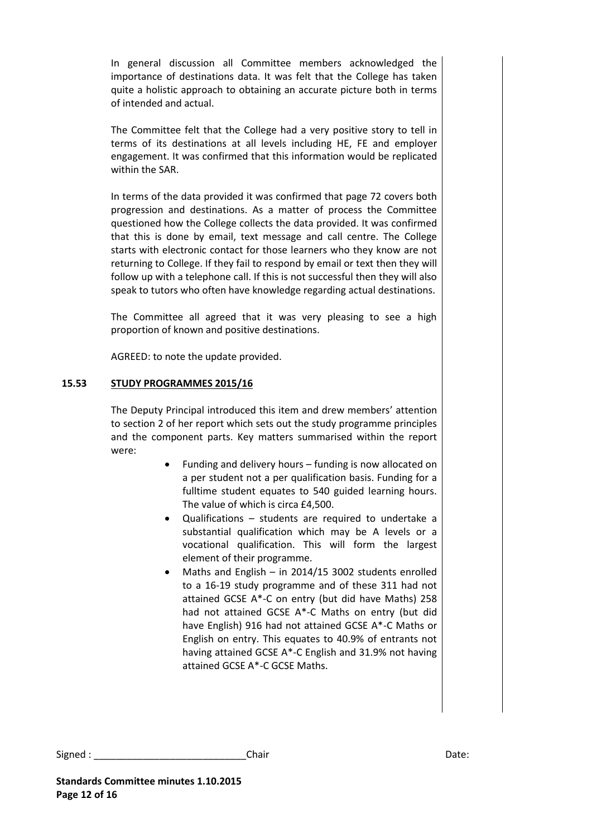In general discussion all Committee members acknowledged the importance of destinations data. It was felt that the College has taken quite a holistic approach to obtaining an accurate picture both in terms of intended and actual.

The Committee felt that the College had a very positive story to tell in terms of its destinations at all levels including HE, FE and employer engagement. It was confirmed that this information would be replicated within the SAR.

In terms of the data provided it was confirmed that page 72 covers both progression and destinations. As a matter of process the Committee questioned how the College collects the data provided. It was confirmed that this is done by email, text message and call centre. The College starts with electronic contact for those learners who they know are not returning to College. If they fail to respond by email or text then they will follow up with a telephone call. If this is not successful then they will also speak to tutors who often have knowledge regarding actual destinations.

The Committee all agreed that it was very pleasing to see a high proportion of known and positive destinations.

AGREED: to note the update provided.

# **15.53 STUDY PROGRAMMES 2015/16**

The Deputy Principal introduced this item and drew members' attention to section 2 of her report which sets out the study programme principles and the component parts. Key matters summarised within the report were:

- Funding and delivery hours funding is now allocated on a per student not a per qualification basis. Funding for a fulltime student equates to 540 guided learning hours. The value of which is circa £4,500.
- Qualifications students are required to undertake a substantial qualification which may be A levels or a vocational qualification. This will form the largest element of their programme.
- Maths and English in 2014/15 3002 students enrolled to a 16-19 study programme and of these 311 had not attained GCSE A\*-C on entry (but did have Maths) 258 had not attained GCSE A\*-C Maths on entry (but did have English) 916 had not attained GCSE A\*-C Maths or English on entry. This equates to 40.9% of entrants not having attained GCSE A\*-C English and 31.9% not having attained GCSE A\*-C GCSE Maths.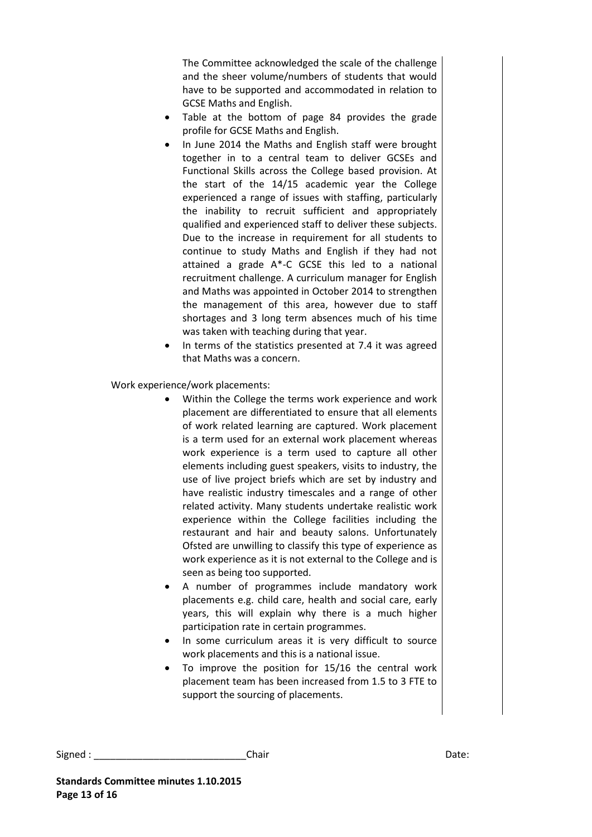The Committee acknowledged the scale of the challenge and the sheer volume/numbers of students that would have to be supported and accommodated in relation to GCSE Maths and English.

- Table at the bottom of page 84 provides the grade profile for GCSE Maths and English.
- In June 2014 the Maths and English staff were brought together in to a central team to deliver GCSEs and Functional Skills across the College based provision. At the start of the 14/15 academic year the College experienced a range of issues with staffing, particularly the inability to recruit sufficient and appropriately qualified and experienced staff to deliver these subjects. Due to the increase in requirement for all students to continue to study Maths and English if they had not attained a grade A\*-C GCSE this led to a national recruitment challenge. A curriculum manager for English and Maths was appointed in October 2014 to strengthen the management of this area, however due to staff shortages and 3 long term absences much of his time was taken with teaching during that year.
- In terms of the statistics presented at 7.4 it was agreed that Maths was a concern.

Work experience/work placements:

- Within the College the terms work experience and work placement are differentiated to ensure that all elements of work related learning are captured. Work placement is a term used for an external work placement whereas work experience is a term used to capture all other elements including guest speakers, visits to industry, the use of live project briefs which are set by industry and have realistic industry timescales and a range of other related activity. Many students undertake realistic work experience within the College facilities including the restaurant and hair and beauty salons. Unfortunately Ofsted are unwilling to classify this type of experience as work experience as it is not external to the College and is seen as being too supported.
- A number of programmes include mandatory work placements e.g. child care, health and social care, early years, this will explain why there is a much higher participation rate in certain programmes.
- In some curriculum areas it is very difficult to source work placements and this is a national issue.
- To improve the position for 15/16 the central work placement team has been increased from 1.5 to 3 FTE to support the sourcing of placements.

```
Signed : ____________________________Chair Date:
```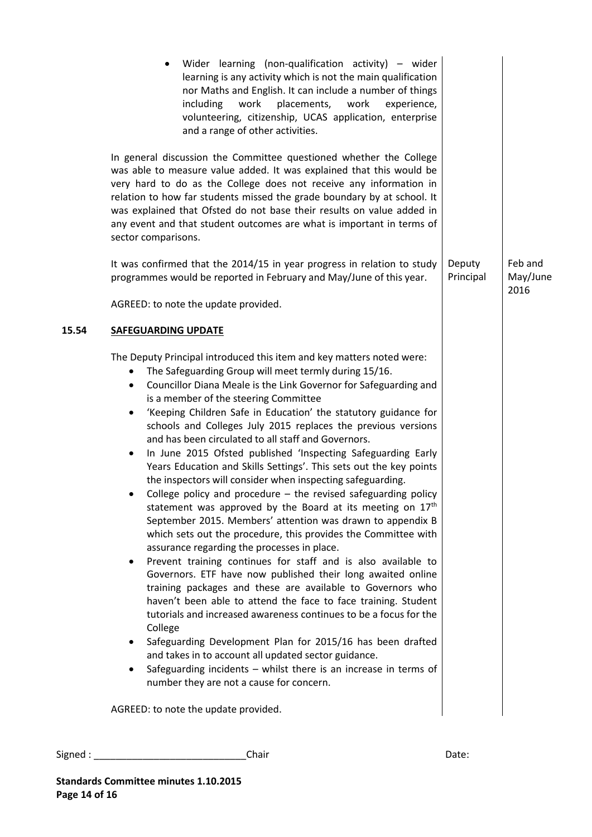|                                                               | Wider learning (non-qualification activity) $-$ wider<br>learning is any activity which is not the main qualification<br>nor Maths and English. It can include a number of things<br>work<br>placements,<br>work<br>including<br>experience,<br>volunteering, citizenship, UCAS application, enterprise<br>and a range of other activities.                                                                                                                                                                                                                                                                                                                                                                                                                                                                                                                                                                                                                                                                                                                                                                                                                                                                                                                                                                  |                     |                             |
|---------------------------------------------------------------|--------------------------------------------------------------------------------------------------------------------------------------------------------------------------------------------------------------------------------------------------------------------------------------------------------------------------------------------------------------------------------------------------------------------------------------------------------------------------------------------------------------------------------------------------------------------------------------------------------------------------------------------------------------------------------------------------------------------------------------------------------------------------------------------------------------------------------------------------------------------------------------------------------------------------------------------------------------------------------------------------------------------------------------------------------------------------------------------------------------------------------------------------------------------------------------------------------------------------------------------------------------------------------------------------------------|---------------------|-----------------------------|
|                                                               | In general discussion the Committee questioned whether the College<br>was able to measure value added. It was explained that this would be<br>very hard to do as the College does not receive any information in<br>relation to how far students missed the grade boundary by at school. It<br>was explained that Ofsted do not base their results on value added in<br>any event and that student outcomes are what is important in terms of<br>sector comparisons.                                                                                                                                                                                                                                                                                                                                                                                                                                                                                                                                                                                                                                                                                                                                                                                                                                         |                     |                             |
|                                                               | It was confirmed that the 2014/15 in year progress in relation to study<br>programmes would be reported in February and May/June of this year.                                                                                                                                                                                                                                                                                                                                                                                                                                                                                                                                                                                                                                                                                                                                                                                                                                                                                                                                                                                                                                                                                                                                                               | Deputy<br>Principal | Feb and<br>May/June<br>2016 |
|                                                               | AGREED: to note the update provided.                                                                                                                                                                                                                                                                                                                                                                                                                                                                                                                                                                                                                                                                                                                                                                                                                                                                                                                                                                                                                                                                                                                                                                                                                                                                         |                     |                             |
| 15.54                                                         | <b>SAFEGUARDING UPDATE</b>                                                                                                                                                                                                                                                                                                                                                                                                                                                                                                                                                                                                                                                                                                                                                                                                                                                                                                                                                                                                                                                                                                                                                                                                                                                                                   |                     |                             |
| $\bullet$<br>$\bullet$<br>$\bullet$<br>$\bullet$<br>$\bullet$ | The Deputy Principal introduced this item and key matters noted were:<br>The Safeguarding Group will meet termly during 15/16.<br>Councillor Diana Meale is the Link Governor for Safeguarding and<br>is a member of the steering Committee<br>'Keeping Children Safe in Education' the statutory guidance for<br>schools and Colleges July 2015 replaces the previous versions<br>and has been circulated to all staff and Governors.<br>In June 2015 Ofsted published 'Inspecting Safeguarding Early<br>Years Education and Skills Settings'. This sets out the key points<br>the inspectors will consider when inspecting safeguarding.<br>College policy and procedure $-$ the revised safeguarding policy<br>statement was approved by the Board at its meeting on 17 <sup>th</sup><br>September 2015. Members' attention was drawn to appendix B<br>which sets out the procedure, this provides the Committee with<br>assurance regarding the processes in place.<br>Prevent training continues for staff and is also available to<br>Governors. ETF have now published their long awaited online<br>training packages and these are available to Governors who<br>haven't been able to attend the face to face training. Student<br>tutorials and increased awareness continues to be a focus for the |                     |                             |

**Standards Committee minutes 1.10.2015**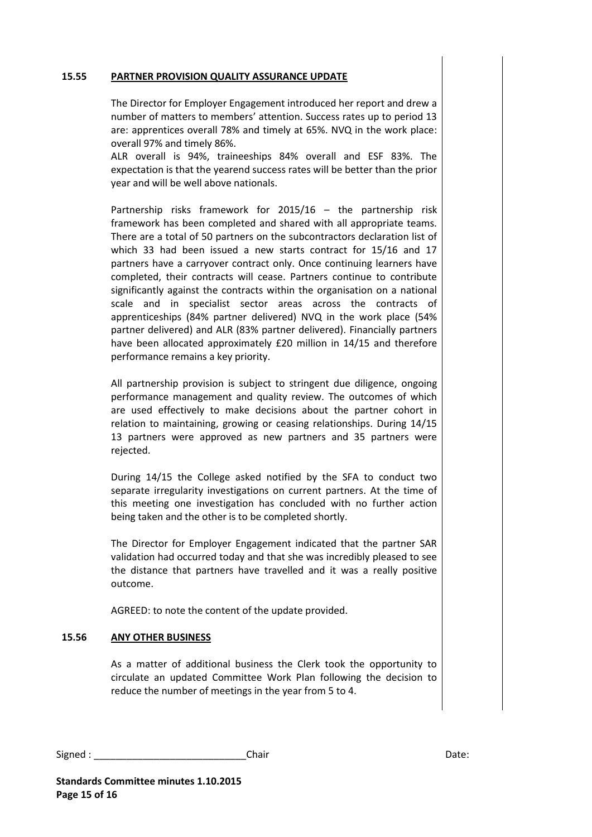#### **15.55 PARTNER PROVISION QUALITY ASSURANCE UPDATE**

The Director for Employer Engagement introduced her report and drew a number of matters to members' attention. Success rates up to period 13 are: apprentices overall 78% and timely at 65%. NVQ in the work place: overall 97% and timely 86%.

ALR overall is 94%, traineeships 84% overall and ESF 83%. The expectation is that the yearend success rates will be better than the prior year and will be well above nationals.

Partnership risks framework for 2015/16 – the partnership risk framework has been completed and shared with all appropriate teams. There are a total of 50 partners on the subcontractors declaration list of which 33 had been issued a new starts contract for 15/16 and 17 partners have a carryover contract only. Once continuing learners have completed, their contracts will cease. Partners continue to contribute significantly against the contracts within the organisation on a national scale and in specialist sector areas across the contracts of apprenticeships (84% partner delivered) NVQ in the work place (54% partner delivered) and ALR (83% partner delivered). Financially partners have been allocated approximately £20 million in 14/15 and therefore performance remains a key priority.

All partnership provision is subject to stringent due diligence, ongoing performance management and quality review. The outcomes of which are used effectively to make decisions about the partner cohort in relation to maintaining, growing or ceasing relationships. During 14/15 13 partners were approved as new partners and 35 partners were rejected.

During 14/15 the College asked notified by the SFA to conduct two separate irregularity investigations on current partners. At the time of this meeting one investigation has concluded with no further action being taken and the other is to be completed shortly.

The Director for Employer Engagement indicated that the partner SAR validation had occurred today and that she was incredibly pleased to see the distance that partners have travelled and it was a really positive outcome.

AGREED: to note the content of the update provided.

## **15.56 ANY OTHER BUSINESS**

As a matter of additional business the Clerk took the opportunity to circulate an updated Committee Work Plan following the decision to reduce the number of meetings in the year from 5 to 4.